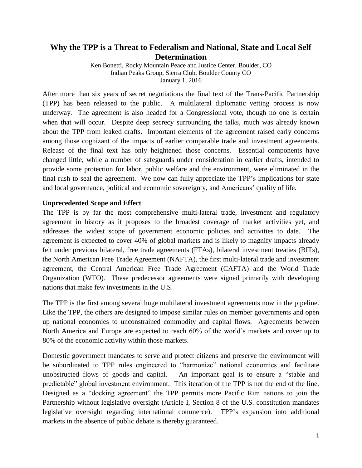## **Why the TPP is a Threat to Federalism and National, State and Local Self Determination**

Ken Bonetti, Rocky Mountain Peace and Justice Center, Boulder, CO Indian Peaks Group, Sierra Club, Boulder County CO January 1, 2016

After more than six years of secret negotiations the final text of the Trans-Pacific Partnership (TPP) has been released to the public. A multilateral diplomatic vetting process is now underway. The agreement is also headed for a Congressional vote, though no one is certain when that will occur. Despite deep secrecy surrounding the talks, much was already known about the TPP from leaked drafts. Important elements of the agreement raised early concerns among those cognizant of the impacts of earlier comparable trade and investment agreements. Release of the final text has only heightened those concerns. Essential components have changed little, while a number of safeguards under consideration in earlier drafts, intended to provide some protection for labor, public welfare and the environment, were eliminated in the final rush to seal the agreement. We now can fully appreciate the TPP's implications for state and local governance, political and economic sovereignty, and Americans' quality of life.

### **Unprecedented Scope and Effect**

The TPP is by far the most comprehensive multi-lateral trade, investment and regulatory agreement in history as it proposes to the broadest coverage of market activities yet, and addresses the widest scope of government economic policies and activities to date. The agreement is expected to cover 40% of global markets and is likely to magnify impacts already felt under previous bilateral, free trade agreements (FTAs), bilateral investment treaties (BITs), the North American Free Trade Agreement (NAFTA), the first multi-lateral trade and investment agreement, the Central American Free Trade Agreement (CAFTA) and the World Trade Organization (WTO). These predecessor agreements were signed primarily with developing nations that make few investments in the U.S.

The TPP is the first among several huge multilateral investment agreements now in the pipeline. Like the TPP, the others are designed to impose similar rules on member governments and open up national economies to unconstrained commodity and capital flows. Agreements between North America and Europe are expected to reach 60% of the world's markets and cover up to 80% of the economic activity within those markets.

Domestic government mandates to serve and protect citizens and preserve the environment will be subordinated to TPP rules engineered to "harmonize" national economies and facilitate unobstructed flows of goods and capital. An important goal is to ensure a "stable and predictable" global investment environment. This iteration of the TPP is not the end of the line. Designed as a "docking agreement" the TPP permits more Pacific Rim nations to join the Partnership without legislative oversight (Article I, Section 8 of the U.S. constitution mandates legislative oversight regarding international commerce). TPP's expansion into additional markets in the absence of public debate is thereby guaranteed.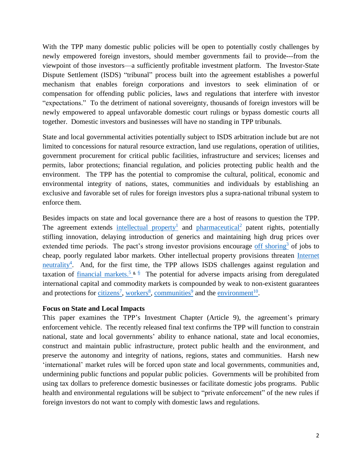With the TPP many domestic public policies will be open to potentially costly challenges by newly empowered foreign investors, should member governments fail to provide---from the viewpoint of those investors—a sufficiently profitable investment platform. The Investor-State Dispute Settlement (ISDS) "tribunal" process built into the agreement establishes a powerful mechanism that enables foreign corporations and investors to seek elimination of or compensation for offending public policies, laws and regulations that interfere with investor "expectations." To the detriment of national sovereignty, thousands of foreign investors will be newly empowered to appeal unfavorable domestic court rulings or bypass domestic courts all together. Domestic investors and businesses will have no standing in TPP tribunals.

State and local governmental activities potentially subject to ISDS arbitration include but are not limited to concessions for natural resource extraction, land use regulations, operation of utilities, government procurement for critical public facilities, infrastructure and services; licenses and permits, labor protections; financial regulation, and policies protecting public health and the environment. The TPP has the potential to compromise the cultural, political, economic and environmental integrity of nations, states, communities and individuals by establishing an exclusive and favorable set of rules for foreign investors plus a supra-national tribunal system to enforce them.

Besides impacts on state and local governance there are a host of reasons to question the TPP. The agreement extends [intellectual property](https://www.eff.org/issues/tpp)<sup>1</sup> and [pharmaceutical](http://www.citizen.org/tpp-public-health)<sup>2</sup> patent rights, potentially stifling innovation, delaying introduction of generics and maintaining high drug prices over extended time periods. The pact's strong investor provisions encourage of [shoring](http://www.citizen.org/Page.aspx?pid=6475)<sup>3</sup> of jobs to cheap, poorly regulated labor markets. Other intellectual property provisions threaten [Internet](http://www.commondreams.org/news/2015/05/20/tpp-could-undermine-health-web-say-250-tech-companies-and-digital-rights-groups)   $\frac{neutrality<sup>4</sup>}{2}$  $\frac{neutrality<sup>4</sup>}{2}$  $\frac{neutrality<sup>4</sup>}{2}$ . And, for the first time, the TPP allows ISDS challenges against regulation and taxation of <u>[financial markets.](http://tppaustralia.org/economists-call-for-tpp-deal-to-allow-capital-controls/)<sup>5</sup> & [6](http://www.exposethetpp.org/TPPImpacts_FinRegulation.html)</u> The potential for adverse impacts arising from deregulated international capital and commodity markets is compounded by weak to non-existent guarantees and protections for  $c$ itizens<sup>7</sup>, [workers](http://www.theguardian.com/us-news/2015/may/21/trans-pacific-partnership-obama-trade-deal-asia-workers)<sup>8</sup>, [communities](http://www.thealliancefordemocracy.org/tpp.html)<sup>9</sup> and the [environment](https://www.sierraclub.org/sites/www.sierraclub.org/files/uploads-wysiwig/dirty-deal.pdf)<sup>10</sup>.

## **Focus on State and Local Impacts**

This paper examines the TPP's Investment Chapter (Article 9), the agreement's primary enforcement vehicle. The recently released final text confirms the TPP will function to constrain national, state and local governments' ability to enhance national, state and local economies, construct and maintain public infrastructure, protect public health and the environment, and preserve the autonomy and integrity of nations, regions, states and communities. Harsh new 'international' market rules will be forced upon state and local governments, communities and, undermining public functions and popular public policies. Governments will be prohibited from using tax dollars to preference domestic businesses or facilitate domestic jobs programs. Public health and environmental regulations will be subject to "private enforcement" of the new rules if foreign investors do not want to comply with domestic laws and regulations.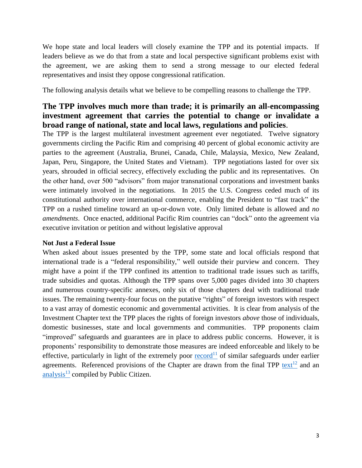We hope state and local leaders will closely examine the TPP and its potential impacts. If leaders believe as we do that from a state and local perspective significant problems exist with the agreement, we are asking them to send a strong message to our elected federal representatives and insist they oppose congressional ratification.

The following analysis details what we believe to be compelling reasons to challenge the TPP.

## **The TPP involves much more than trade; it is primarily an all-encompassing investment agreement that carries the potential to change or invalidate a broad range of national, state and local laws, regulations and policies**.

The TPP is the largest multilateral investment agreement ever negotiated. Twelve signatory governments circling the Pacific Rim and comprising 40 percent of global economic activity are parties to the agreement (Australia, Brunei, Canada, Chile, Malaysia, Mexico, New Zealand, Japan, Peru, Singapore, the United States and Vietnam). TPP negotiations lasted for over six years, shrouded in official secrecy, effectively excluding the public and its representatives. On the other hand, over 500 "advisors" from major transnational corporations and investment banks were intimately involved in the negotiations. In 2015 the U.S. Congress ceded much of its constitutional authority over international commerce, enabling the President to "fast track" the TPP on a rushed timeline toward an up-or-down vote. Only limited debate is allowed and *no amendments*. Once enacted, additional Pacific Rim countries can "dock" onto the agreement via executive invitation or petition and without legislative approval

#### **Not Just a Federal Issue**

When asked about issues presented by the TPP, some state and local officials respond that international trade is a "federal responsibility," well outside their purview and concern. They might have a point if the TPP confined its attention to traditional trade issues such as tariffs, trade subsidies and quotas. Although the TPP spans over 5,000 pages divided into 30 chapters and numerous country-specific annexes, only six of those chapters deal with traditional trade issues. The remaining twenty-four focus on the putative "rights" of foreign investors with respect to a vast array of domestic economic and governmental activities. It is clear from analysis of the Investment Chapter text the TPP places the rights of foreign investors *above* those of individuals, domestic businesses, state and local governments and communities. TPP proponents claim "improved" safeguards and guarantees are in place to address public concerns. However, it is proponents' responsibility to demonstrate those measures are indeed enforceable and likely to be effective, particularly in light of the extremely poor  $record<sup>11</sup>$  of similar safeguards under earlier</u> agreements. Referenced provisions of the Chapter are drawn from the final TPP  $text{text}^{12}$  and an [analysis](https://www.citizen.org/documents/analysis-tpp-text-november-2015.pdf)<sup>13</sup> compiled by Public Citizen.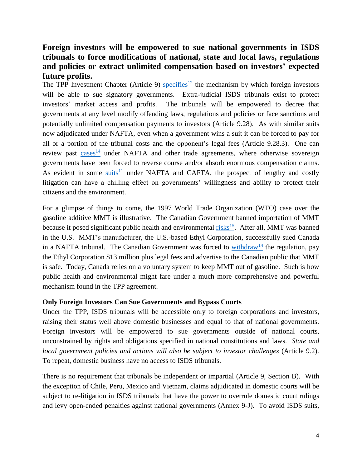# **Foreign investors will be empowered to sue national governments in ISDS tribunals to force modifications of national, state and local laws, regulations and policies or extract unlimited compensation based on investors' expected future profits.**

The TPP Investment Chapter (Article 9)  $\frac{1}{2}$  the mechanism by which foreign investors will be able to sue signatory governments. Extra-judicial ISDS tribunals exist to protect investors' market access and profits. The tribunals will be empowered to decree that governments at any level modify offending laws, regulations and policies or face sanctions and potentially unlimited compensation payments to investors (Article 9.28). As with similar suits now adjudicated under NAFTA, even when a government wins a suit it can be forced to pay for all or a portion of the tribunal costs and the opponent's legal fees (Article 9.28.3). One can review past [cases](http://www.citizen.org/documents/investor-state-chart.pdf)<sup>14</sup> under NAFTA and other trade agreements, where otherwise sovereign governments have been forced to reverse course and/or absorb enormous compensation claims. As evident in some [suits](file:///C:/Users/kenecon/Documents/Ken/Trade/TPP/My%20Analysis/11.%09http:/www.citizen.org/documents/ustr-isds-response.pdf)<sup>11</sup> under NAFTA and CAFTA, the prospect of lengthy and costly litigation can have a chilling effect on governments' willingness and ability to protect their citizens and the environment.

For a glimpse of things to come, the 1997 World Trade Organization (WTO) case over the gasoline additive MMT is illustrative. The Canadian Government banned importation of MMT because it posed significant public health and environmental [risks](https://www.organicconsumers.org/old_articles/corp/CanadaMMT.php)<sup>15</sup>. After all, MMT was banned in the U.S. MMT's manufacturer, the U.S.-based Ethyl Corporation, successfully sued Canada in a NAFTA tribunal. The Canadian Government was forced to  $\frac{\text{without}^{14}}{\text{without}}$  the regulation, pay the Ethyl Corporation \$13 million plus legal fees and advertise to the Canadian public that MMT is safe. Today, Canada relies on a voluntary system to keep MMT out of gasoline. Such is how public health and environmental might fare under a much more comprehensive and powerful mechanism found in the TPP agreement.

## **Only Foreign Investors Can Sue Governments and Bypass Courts**

Under the TPP, ISDS tribunals will be accessible only to foreign corporations and investors, raising their status well above domestic businesses and equal to that of national governments. Foreign investors will be empowered to sue governments outside of national courts, unconstrained by rights and obligations specified in national constitutions and laws. *State and local government policies and actions will also be subject to investor challenges* (Article 9.2). To repeat, domestic business have no access to ISDS tribunals.

There is no requirement that tribunals be independent or impartial (Article 9, Section B). With the exception of Chile, Peru, Mexico and Vietnam, claims adjudicated in domestic courts will be subject to re-litigation in ISDS tribunals that have the power to overrule domestic court rulings and levy open-ended penalties against national governments (Annex 9-J). To avoid ISDS suits,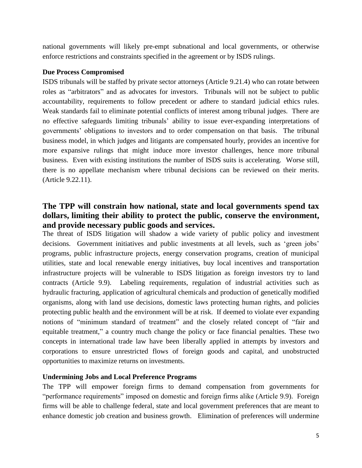national governments will likely pre-empt subnational and local governments, or otherwise enforce restrictions and constraints specified in the agreement or by ISDS rulings.

### **Due Process Compromised**

ISDS tribunals will be staffed by private sector attorneys (Article 9.21.4) who can rotate between roles as "arbitrators" and as advocates for investors. Tribunals will not be subject to public accountability, requirements to follow precedent or adhere to standard judicial ethics rules. Weak standards fail to eliminate potential conflicts of interest among tribunal judges. There are no effective safeguards limiting tribunals' ability to issue ever-expanding interpretations of governments' obligations to investors and to order compensation on that basis. The tribunal business model, in which judges and litigants are compensated hourly, provides an incentive for more expansive rulings that might induce more investor challenges, hence more tribunal business. Even with existing institutions the number of ISDS suits is accelerating. Worse still, there is no appellate mechanism where tribunal decisions can be reviewed on their merits. (Article 9.22.11).

# **The TPP will constrain how national, state and local governments spend tax dollars, limiting their ability to protect the public, conserve the environment, and provide necessary public goods and services.**

The threat of ISDS litigation will shadow a wide variety of public policy and investment decisions. Government initiatives and public investments at all levels, such as 'green jobs' programs, public infrastructure projects, energy conservation programs, creation of municipal utilities, state and local renewable energy initiatives, buy local incentives and transportation infrastructure projects will be vulnerable to ISDS litigation as foreign investors try to land contracts (Article 9.9). Labeling requirements, regulation of industrial activities such as hydraulic fracturing, application of agricultural chemicals and production of genetically modified organisms, along with land use decisions, domestic laws protecting human rights, and policies protecting public health and the environment will be at risk. If deemed to violate ever expanding notions of "minimum standard of treatment" and the closely related concept of "fair and equitable treatment," a country much change the policy or face financial penalties. These two concepts in international trade law have been liberally applied in attempts by investors and corporations to ensure unrestricted flows of foreign goods and capital, and unobstructed opportunities to maximize returns on investments.

## **Undermining Jobs and Local Preference Programs**

The TPP will empower foreign firms to demand compensation from governments for "performance requirements" imposed on domestic and foreign firms alike (Article 9.9). Foreign firms will be able to challenge federal, state and local government preferences that are meant to enhance domestic job creation and business growth. Elimination of preferences will undermine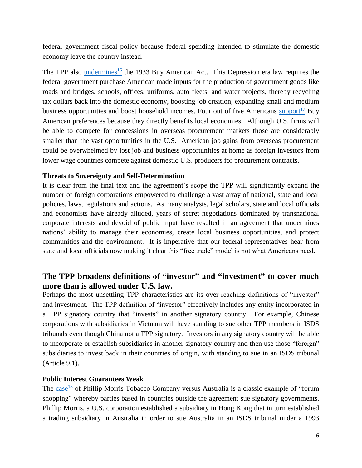federal government fiscal policy because federal spending intended to stimulate the domestic economy leave the country instead.

The TPP also *[undermines](http://www.citizen.org/documents/TPP-Buy-American-USTR-retort.pdf)*<sup>16</sup> the 1933 Buy American Act. This Depression era law requires the federal government purchase American made inputs for the production of government goods like roads and bridges, schools, offices, uniforms, auto fleets, and water projects, thereby recycling tax dollars back into the domestic economy, boosting job creation, expanding small and medium business opportunities and boost household incomes. Four out of five Americans [support](http://www.americanmanufacturing.org/2014poll/)<sup>17</sup> Buy American preferences because they directly benefits local economies. Although U.S. firms will be able to compete for concessions in overseas procurement markets those are considerably smaller than the vast opportunities in the U.S. American job gains from overseas procurement could be overwhelmed by lost job and business opportunities at home as foreign investors from lower wage countries compete against domestic U.S. producers for procurement contracts.

#### **Threats to Sovereignty and Self-Determination**

It is clear from the final text and the agreement's scope the TPP will significantly expand the number of foreign corporations empowered to challenge a vast array of national, state and local policies, laws, regulations and actions. As many analysts, legal scholars, state and local officials and economists have already alluded, years of secret negotiations dominated by transnational corporate interests and devoid of public input have resulted in an agreement that undermines nations' ability to manage their economies, create local business opportunities, and protect communities and the environment. It is imperative that our federal representatives hear from state and local officials now making it clear this "free trade" model is not what Americans need.

## **The TPP broadens definitions of "investor" and "investment" to cover much more than is allowed under U.S. law.**

Perhaps the most unsettling TPP characteristics are its over-reaching definitions of "investor" and investment. The TPP definition of "investor" effectively includes any entity incorporated in a TPP signatory country that "invests" in another signatory country. For example, Chinese corporations with subsidiaries in Vietnam will have standing to sue other TPP members in ISDS tribunals even though China not a TPP signatory. Investors in any signatory country will be able to incorporate or establish subsidiaries in another signatory country and then use those "foreign" subsidiaries to invest back in their countries of origin, with standing to sue in an ISDS tribunal (Article 9.1).

## **Public Interest Guarantees Weak**

The [case](https://au.news.yahoo.com/thewest/a/29064155/tobacco-giant-sues-australia/)<sup>18</sup> of Phillip Morris Tobacco Company versus Australia is a classic example of "forum shopping" whereby parties based in countries outside the agreement sue signatory governments. Phillip Morris, a U.S. corporation established a subsidiary in Hong Kong that in turn established a trading subsidiary in Australia in order to sue Australia in an ISDS tribunal under a 1993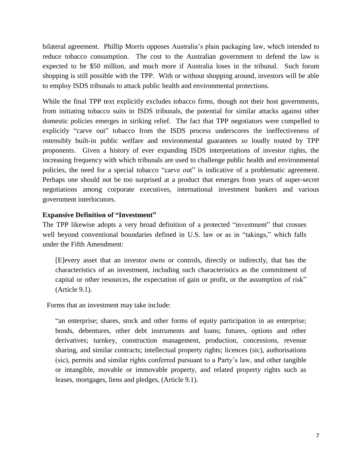bilateral agreement. Phillip Morris opposes Australia's plain packaging law, which intended to reduce tobacco consumption. The cost to the Australian government to defend the law is expected to be \$50 million, and much more if Australia loses in the tribunal. Such forum shopping is still possible with the TPP. With or without shopping around, investors will be able to employ ISDS tribunals to attack public health and environmental protections.

While the final TPP text explicitly excludes tobacco firms, though not their host governments, from initiating tobacco suits in ISDS tribunals, the potential for similar attacks against other domestic policies emerges in striking relief. The fact that TPP negotiators were compelled to explicitly "carve out" tobacco from the ISDS process underscores the ineffectiveness of ostensibly built-in public welfare and environmental guarantees so loudly touted by TPP proponents. Given a history of ever expanding ISDS interpretations of investor rights, the increasing frequency with which tribunals are used to challenge public health and environmental policies, the need for a special tobacco "carve out" is indicative of a problematic agreement. Perhaps one should not be too surprised at a product that emerges from years of super-secret negotiations among corporate executives, international investment bankers and various government interlocutors.

### **Expansive Definition of "Investment"**

The TPP likewise adopts a very broad definition of a protected "investment" that crosses well beyond conventional boundaries defined in U.S. law or as in "takings," which falls under the Fifth Amendment:

[E]every asset that an investor owns or controls, directly or indirectly, that has the characteristics of an investment, including such characteristics as the commitment of capital or other resources, the expectation of gain or profit, or the assumption of risk" (Article 9.1).

Forms that an investment may take include:

"an enterprise; shares, stock and other forms of equity participation in an enterprise; bonds, debentures, other debt instruments and loans; futures, options and other derivatives; turnkey, construction management, production, concessions, revenue sharing, and similar contracts; intellectual property rights; licences (sic), authorisations (sic), permits and similar rights conferred pursuant to a Party's law, and other tangible or intangible, movable or immovable property, and related property rights such as leases, mortgages, liens and pledges, (Article 9.1).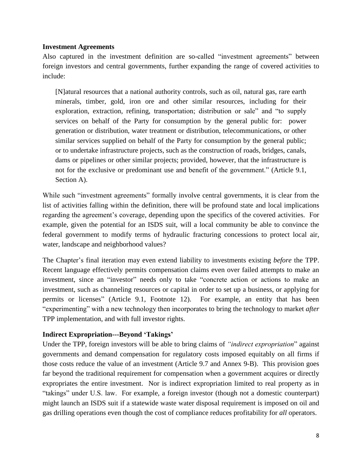#### **Investment Agreements**

Also captured in the investment definition are so-called "investment agreements" between foreign investors and central governments, further expanding the range of covered activities to include:

[N]atural resources that a national authority controls, such as oil, natural gas, rare earth minerals, timber, gold, iron ore and other similar resources, including for their exploration, extraction, refining, transportation; distribution or sale" and "to supply services on behalf of the Party for consumption by the general public for: power generation or distribution, water treatment or distribution, telecommunications, or other similar services supplied on behalf of the Party for consumption by the general public; or to undertake infrastructure projects, such as the construction of roads, bridges, canals, dams or pipelines or other similar projects; provided, however, that the infrastructure is not for the exclusive or predominant use and benefit of the government." (Article 9.1, Section A).

While such "investment agreements" formally involve central governments, it is clear from the list of activities falling within the definition, there will be profound state and local implications regarding the agreement's coverage, depending upon the specifics of the covered activities. For example, given the potential for an ISDS suit, will a local community be able to convince the federal government to modify terms of hydraulic fracturing concessions to protect local air, water, landscape and neighborhood values?

The Chapter's final iteration may even extend liability to investments existing *before* the TPP. Recent language effectively permits compensation claims even over failed attempts to make an investment, since an "investor" needs only to take "concrete action or actions to make an investment, such as channeling resources or capital in order to set up a business, or applying for permits or licenses" (Article 9.1, Footnote 12). For example, an entity that has been "experimenting" with a new technology then incorporates to bring the technology to market *after* TPP implementation, and with full investor rights.

## **Indirect Expropriation---Beyond 'Takings'**

Under the TPP, foreign investors will be able to bring claims of *"indirect expropriation*" against governments and demand compensation for regulatory costs imposed equitably on all firms if those costs reduce the value of an investment (Article 9.7 and Annex 9-B). This provision goes far beyond the traditional requirement for compensation when a government acquires or directly expropriates the entire investment. Nor is indirect expropriation limited to real property as in "takings" under U.S. law. For example, a foreign investor (though not a domestic counterpart) might launch an ISDS suit if a statewide waste water disposal requirement is imposed on oil and gas drilling operations even though the cost of compliance reduces profitability for *all* operators.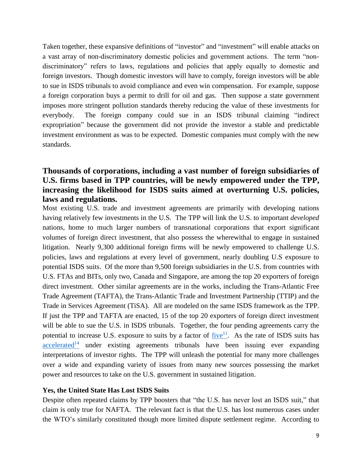Taken together, these expansive definitions of "investor" and "investment" will enable attacks on a vast array of non-discriminatory domestic policies and government actions. The term "nondiscriminatory" refers to laws, regulations and policies that apply equally to domestic and foreign investors. Though domestic investors will have to comply, foreign investors will be able to sue in ISDS tribunals to avoid compliance and even win compensation. For example, suppose a foreign corporation buys a permit to drill for oil and gas. Then suppose a state government imposes more stringent pollution standards thereby reducing the value of these investments for everybody. The foreign company could sue in an ISDS tribunal claiming "indirect expropriation" because the government did not provide the investor a stable and predictable investment environment as was to be expected. Domestic companies must comply with the new standards.

# **Thousands of corporations, including a vast number of foreign subsidiaries of U.S. firms based in TPP countries, will be newly empowered under the TPP, increasing the likelihood for ISDS suits aimed at overturning U.S. policies, laws and regulations.**

Most existing U.S. trade and investment agreements are primarily with developing nations having relatively few investments in the U.S. The TPP will link the U.S. to important *developed* nations, home to much larger numbers of transnational corporations that export significant volumes of foreign direct investment, that also possess the wherewithal to engage in sustained litigation. Nearly 9,300 additional foreign firms will be newly empowered to challenge U.S. policies, laws and regulations at every level of government, nearly doubling U.S exposure to potential ISDS suits. Of the more than 9,500 foreign subsidiaries in the U.S. from countries with U.S. FTAs and BITs, only two, Canada and Singapore, are among the top 20 exporters of foreign direct investment. Other similar agreements are in the works, including the Trans-Atlantic Free Trade Agreement (TAFTA), the Trans-Atlantic Trade and Investment Partnership (TTIP) and the Trade in Services Agreement (TiSA). All are modeled on the same ISDS framework as the TPP. If just the TPP and TAFTA are enacted, 15 of the top 20 exporters of foreign direct investment will be able to sue the U.S. in ISDS tribunals. Together, the four pending agreements carry the potential to increase U.S. exposure to suits by a factor of  $\frac{five^{11}}{1}$ . As the rate of ISDS suits has  $accelerated<sup>14</sup>$  $accelerated<sup>14</sup>$  under existing agreements tribunals have been issuing ever expanding interpretations of investor rights. The TPP will unleash the potential for many more challenges over a wide and expanding variety of issues from many new sources possessing the market power and resources to take on the U.S. government in sustained litigation.

#### **Yes, the United State Has Lost ISDS Suits**

Despite often repeated claims by TPP boosters that "the U.S. has never lost an ISDS suit," that claim is only true for NAFTA. The relevant fact is that the U.S. has lost numerous cases under the WTO's similarly constituted though more limited dispute settlement regime. According to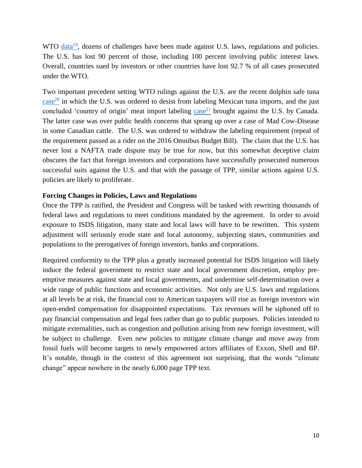WTO  $\frac{data^{19}}{s}$ , dozens of challenges have been made against U.S. laws, regulations and policies. The U.S. has lost 90 percent of those, including 100 percent involving public interest laws. Overall, countries sued by investors or other countries have lost 92.7 % of all cases prosecuted under the WTO.

Two important precedent setting WTO rulings against the U.S. are the recent dolphin safe tuna  $case<sup>20</sup>$  $case<sup>20</sup>$  in which the U.S. was ordered to desist from labeling Mexican tuna imports, and the just concluded 'country of origin' meat import labeling  $case^{21}$  brought against the U.S. by Canada. The latter case was over public health concerns that sprang up over a case of Mad Cow-Disease in some Canadian cattle. The U.S. was ordered to withdraw the labeling requirement (repeal of the requirement passed as a rider on the 2016 Omnibus Budget Bill). The claim that the U.S. has never lost a NAFTA trade dispute may be true for now, but this somewhat deceptive claim obscures the fact that foreign investors and corporations have successfully prosecuted numerous successful suits against the U.S. and that with the passage of TPP, similar actions against U.S. policies are likely to proliferate.

#### **Forcing Changes in Policies, Laws and Regulations**

Once the TPP is ratified, the President and Congress will be tasked with rewriting thousands of federal laws and regulations to meet conditions mandated by the agreement. In order to avoid exposure to ISDS litigation, many state and local laws will have to be rewritten. This system adjustment will seriously erode state and local autonomy, subjecting states, communities and populations to the prerogatives of foreign investors, banks and corporations.

Required conformity to the TPP plus a greatly increased potential for ISDS litigation will likely induce the federal government to restrict state and local government discretion, employ preemptive measures against state and local governments, and undermine self-determination over a wide range of public functions and economic activities. Not only are U.S. laws and regulations at all levels be at risk, the financial cost to American taxpayers will rise as foreign investors win open-ended compensation for disappointed expectations. Tax revenues will be siphoned off to pay financial compensation and legal fees rather than go to public purposes. Policies intended to mitigate externalities, such as congestion and pollution arising from new foreign investment, will be subject to challenge. Even new policies to mitigate climate change and move away from fossil fuels will become targets to newly empowered actors affiliates of Exxon, Shell and BP. It's notable, though in the context of this agreement not surprising, that the words "climate change" appear nowhere in the nearly 6,000 page TPP text.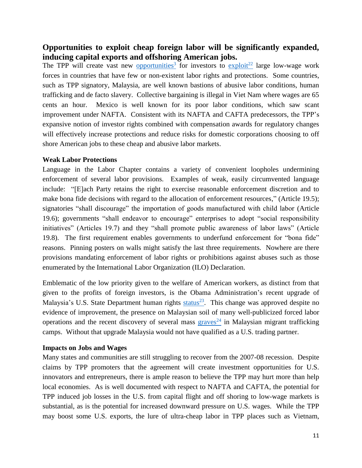## **Opportunities to exploit cheap foreign labor will be significantly expanded, inducing capital exports and offshoring American jobs.**

The TPP will create vast new **opportunities**<sup>3</sup> for investors to  $\frac{\text{exploit}^{22}}{\text{edge}}$  $\frac{\text{exploit}^{22}}{\text{edge}}$  $\frac{\text{exploit}^{22}}{\text{edge}}$  large low-wage work forces in countries that have few or non-existent labor rights and protections. Some countries, such as TPP signatory, Malaysia, are well known bastions of abusive labor conditions, human trafficking and de facto slavery. Collective bargaining is illegal in Viet Nam where wages are 65 cents an hour. Mexico is well known for its poor labor conditions, which saw scant improvement under NAFTA. Consistent with its NAFTA and CAFTA predecessors, the TPP's expansive notion of investor rights combined with compensation awards for regulatory changes will effectively increase protections and reduce risks for domestic corporations choosing to off shore American jobs to these cheap and abusive labor markets.

#### **Weak Labor Protections**

Language in the Labor Chapter contains a variety of convenient loopholes undermining enforcement of several labor provisions. Examples of weak, easily circumvented language include: "[E]ach Party retains the right to exercise reasonable enforcement discretion and to make bona fide decisions with regard to the allocation of enforcement resources," (Article 19.5); signatories "shall discourage" the importation of goods manufactured with child labor (Article 19.6); governments "shall endeavor to encourage" enterprises to adopt "social responsibility initiatives" (Articles 19.7) and they "shall promote public awareness of labor laws" (Article 19.8). The first requirement enables governments to underfund enforcement for "bona fide" reasons. Pinning posters on walls might satisfy the last three requirements. Nowhere are there provisions mandating enforcement of labor rights or prohibitions against abuses such as those enumerated by the International Labor Organization (ILO) Declaration.

Emblematic of the low priority given to the welfare of American workers, as distinct from that given to the profits of foreign investors, is the Obama Administration's recent upgrade of Malaysia's U.S. State Department human rights [status](http://www.reuters.com/article/2015/07/09/us-usa-malaysia-trafficking-exclusive-idUSKCN0PJ00F20150709)<sup>23</sup>. This change was approved despite no evidence of improvement, the presence on Malaysian soil of many well-publicized forced labor operations and the recent discovery of several mass  $\frac{g r \alpha v e s^{24}}{2}$  in Malaysian migrant trafficking camps. Without that upgrade Malaysia would not have qualified as a U.S. trading partner.

#### **Impacts on Jobs and Wages**

Many states and communities are still struggling to recover from the 2007-08 recession. Despite claims by TPP promoters that the agreement will create investment opportunities for U.S. innovators and entrepreneurs, there is ample reason to believe the TPP may hurt more than help local economies. As is well documented with respect to NAFTA and CAFTA, the potential for TPP induced job losses in the U.S. from capital flight and off shoring to low-wage markets is substantial, as is the potential for increased downward pressure on U.S. wages. While the TPP may boost some U.S. exports, the lure of ultra-cheap labor in TPP places such as Vietnam,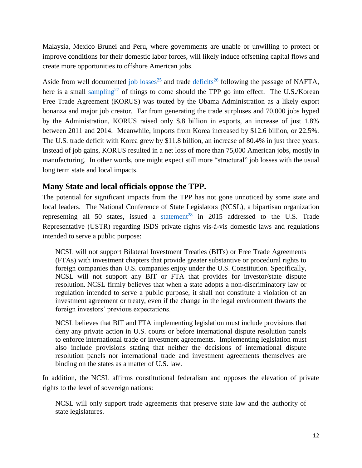Malaysia, Mexico Brunei and Peru, where governments are unable or unwilling to protect or improve conditions for their domestic labor forces, will likely induce offsetting capital flows and create more opportunities to offshore American jobs.

Aside from well documented  $\frac{j_{\rm ob} \text{losses}^{25}}{j_{\rm ob}}$  and trade  $\frac{\text{deficits}^{26}}{j_{\rm ob}}$  following the passage of NAFTA, here is a small [sampling](http://www.epi.org/blog/u-s-korea-trade-deal-resulted-in-growing-trade-deficits-and-more-than-75000-lost-u-s-jobs/)<sup>27</sup> of things to come should the TPP go into effect. The U.S./Korean Free Trade Agreement (KORUS) was touted by the Obama Administration as a likely export bonanza and major job creator. Far from generating the trade surpluses and 70,000 jobs hyped by the Administration, KORUS raised only \$.8 billion in exports, an increase of just 1.8% between 2011 and 2014. Meanwhile, imports from Korea increased by \$12.6 billion, or 22.5%. The U.S. trade deficit with Korea grew by \$11.8 billion, an increase of 80.4% in just three years. Instead of job gains, KORUS resulted in a net loss of more than 75,000 American jobs, mostly in manufacturing. In other words, one might expect still more "structural" job losses with the usual long term state and local impacts.

# **Many State and local officials oppose the TPP.**

The potential for significant impacts from the TPP has not gone unnoticed by some state and local leaders. The National Conference of State Legislators (NCSL), a bipartisan organization representing all 50 states, issued a  $statement^{28}$  $statement^{28}$  in 2015 addressed to the U.S. Trade Representative (USTR) regarding ISDS private rights vis-à-vis domestic laws and regulations intended to serve a public purpose:

NCSL will not support Bilateral Investment Treaties (BITs) or Free Trade Agreements (FTAs) with investment chapters that provide greater substantive or procedural rights to foreign companies than U.S. companies enjoy under the U.S. Constitution. Specifically, NCSL will not support any BIT or FTA that provides for investor/state dispute resolution. NCSL firmly believes that when a state adopts a non-discriminatory law or regulation intended to serve a public purpose, it shall not constitute a violation of an investment agreement or treaty, even if the change in the legal environment thwarts the foreign investors' previous expectations.

NCSL believes that BIT and FTA implementing legislation must include provisions that deny any private action in U.S. courts or before international dispute resolution panels to enforce international trade or investment agreements. Implementing legislation must also include provisions stating that neither the decisions of international dispute resolution panels nor international trade and investment agreements themselves are binding on the states as a matter of U.S. law.

In addition, the NCSL affirms constitutional federalism and opposes the elevation of private rights to the level of sovereign nations:

NCSL will only support trade agreements that preserve state law and the authority of state legislatures.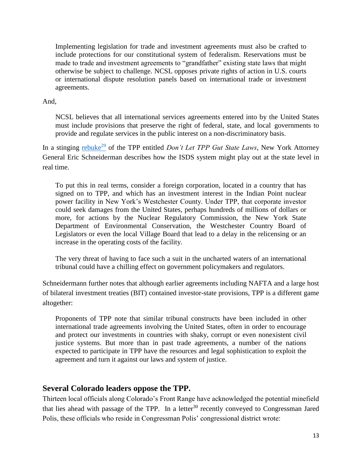Implementing legislation for trade and investment agreements must also be crafted to include protections for our constitutional system of federalism. Reservations must be made to trade and investment agreements to "grandfather" existing state laws that might otherwise be subject to challenge. NCSL opposes private rights of action in U.S. courts or international dispute resolution panels based on international trade or investment agreements.

### And,

NCSL believes that all international services agreements entered into by the United States must include provisions that preserve the right of federal, state, and local governments to provide and regulate services in the public interest on a non-discriminatory basis.

In a stinging [rebuke](http://www.politico.com/magazine/story/2015/04/trans-pacific-partnership-state-laws-117127#.VaxSErXGFqA%20http://www.politico.com/magazine/story/2015/04/trans-pacific-partnership-state-laws-117127.html)<sup>29</sup> of the TPP entitled *Don't Let TPP Gut State Laws*, New York Attorney General Eric Schneiderman describes how the ISDS system might play out at the state level in real time.

To put this in real terms, consider a foreign corporation, located in a country that has signed on to TPP, and which has an investment interest in the Indian Point nuclear power facility in New York's Westchester County. Under TPP, that corporate investor could seek damages from the United States, perhaps hundreds of millions of dollars or more, for actions by the Nuclear Regulatory Commission, the New York State Department of Environmental Conservation, the Westchester Country Board of Legislators or even the local Village Board that lead to a delay in the relicensing or an increase in the operating costs of the facility.

The very threat of having to face such a suit in the uncharted waters of an international tribunal could have a chilling effect on government policymakers and regulators.

Schneidermann further notes that although earlier agreements including NAFTA and a large host of bilateral investment treaties (BIT) contained investor-state provisions, TPP is a different game altogether:

Proponents of TPP note that similar tribunal constructs have been included in other international trade agreements involving the United States, often in order to encourage and protect our investments in countries with shaky, corrupt or even nonexistent civil justice systems. But more than in past trade agreements, a number of the nations expected to participate in TPP have the resources and legal sophistication to exploit the agreement and turn it against our laws and system of justice.

## **Several Colorado leaders oppose the TPP.**

Thirteen local officials along Colorado's Front Range have acknowledged the potential minefield that lies ahead with passage of the TPP. In a letter<sup>30</sup> recently conveyed to Congressman Jared Polis, these officials who reside in Congressman Polis' congressional district wrote: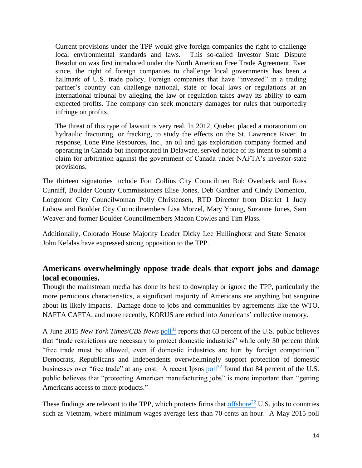Current provisions under the TPP would give foreign companies the right to challenge local environmental standards and laws. This so-called Investor State Dispute Resolution was first introduced under the North American Free Trade Agreement. Ever since, the right of foreign companies to challenge local governments has been a hallmark of U.S. trade policy. Foreign companies that have "invested" in a trading partner's country can challenge national, state or local laws or regulations at an international tribunal by alleging the law or regulation takes away its ability to earn expected profits. The company can seek monetary damages for rules that purportedly infringe on profits.

The threat of this type of lawsuit is very real. In 2012, Quebec placed a moratorium on hydraulic fracturing, or fracking, to study the effects on the St. Lawrence River. In response, Lone Pine Resources, Inc., an oil and gas exploration company formed and operating in Canada but incorporated in Delaware, served notice of its intent to submit a claim for arbitration against the government of Canada under NAFTA's investor-state provisions.

The thirteen signatories include Fort Collins City Councilmen Bob Overbeck and Ross Cunniff, Boulder County Commissioners Elise Jones, Deb Gardner and Cindy Domenico, Longmont City Councilwoman Polly Christensen, RTD Director from District 1 Judy Lubow and Boulder City Councilmembers Lisa Morzel, Mary Young, Suzanne Jones, Sam Weaver and former Boulder Councilmembers Macon Cowles and Tim Plass.

Additionally, Colorado House Majority Leader Dicky Lee Hullinghorst and State Senator John Kefalas have expressed strong opposition to the TPP.

# **Americans overwhelmingly oppose trade deals that export jobs and damage local economies.**

Though the mainstream media has done its best to downplay or ignore the TPP, particularly the more pernicious characteristics, a significant majority of Americans are anything but sanguine about its likely impacts. Damage done to jobs and communities by agreements like the WTO, NAFTA CAFTA, and more recently, KORUS are etched into Americans' collective memory.

A June 2015 *New York Times/CBS News* [poll](http://www.nytimes.com/interactive/2015/06/03/business/income-inequality-workers-rights-international-trade-poll.html?_r=0)<sup>31</sup> reports that 63 percent of the U.S. public believes that "trade restrictions are necessary to protect domestic industries" while only 30 percent think "free trade must be allowed, even if domestic industries are hurt by foreign competition." Democrats, Republicans and Independents overwhelmingly support protection of domestic businesses over "free trade" at any cost. A recent Ipsos [poll](http://www.ipsos-na.com/download/pr.aspx?id=14490)<sup>32</sup> found that 84 percent of the U.S. public believes that "protecting American manufacturing jobs" is more important than "getting Americans access to more products."

These findings are relevant to the TPP, which protects firms that  $\frac{offshore^{22}}{1}$  U.S. jobs to countries such as Vietnam, where minimum wages average less than 70 cents an hour. A May 2015 poll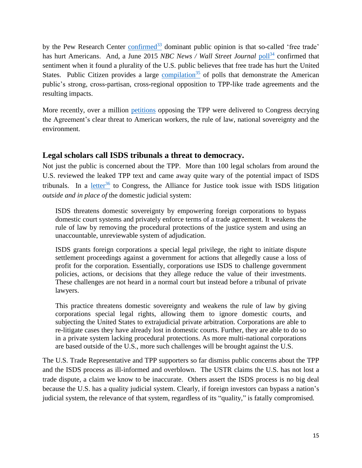by the Pew Research Center *confirmed*<sup>33</sup> dominant public opinion is that so-called 'free trade' has hurt Americans. And, a June 2015 *NBC News / Wall Street Journal* [poll](http://online.wsj.com/public/resources/documents/WSJNBCpoll06222015.pdf)<sup>34</sup> confirmed that sentiment when it found a plurality of the U.S. public believes that free trade has hurt the United States. Public Citizen provides a large [compilation](http://www.citizen.org/documents/polling-memo.pdf)<sup>35</sup> of polls that demonstrate the American public's strong, cross-partisan, cross-regional opposition to TPP-like trade agreements and the resulting impacts.

More recently, over a million [petitions](http://readersupportednews.org/news-section2/318-66/35038-one-million-anti-tpp-petitions-delivered-to-congress) opposing the TPP were delivered to Congress decrying the Agreement's clear threat to American workers, the rule of law, national sovereignty and the environment.

# **Legal scholars call ISDS tribunals a threat to democracy.**

Not just the public is concerned about the TPP. More than 100 legal scholars from around the U.S. reviewed the leaked TPP text and came away quite wary of the potential impact of ISDS tribunals. In a  $l$ <sub>etter</sub><sup>36</sup> to Congress, the Alliance for Justice took issue with ISDS litigation *outside and in place of* the domestic judicial system:

ISDS threatens domestic sovereignty by empowering foreign corporations to bypass domestic court systems and privately enforce terms of a trade agreement. It weakens the rule of law by removing the procedural protections of the justice system and using an unaccountable, unreviewable system of adjudication.

ISDS grants foreign corporations a special legal privilege, the right to initiate dispute settlement proceedings against a government for actions that allegedly cause a loss of profit for the corporation. Essentially, corporations use ISDS to challenge government policies, actions, or decisions that they allege reduce the value of their investments. These challenges are not heard in a normal court but instead before a tribunal of private lawyers.

This practice threatens domestic sovereignty and weakens the rule of law by giving corporations special legal rights, allowing them to ignore domestic courts, and subjecting the United States to extrajudicial private arbitration. Corporations are able to re-litigate cases they have already lost in domestic courts. Further, they are able to do so in a private system lacking procedural protections. As more multi-national corporations are based outside of the U.S., more such challenges will be brought against the U.S.

The U.S. Trade Representative and TPP supporters so far dismiss public concerns about the TPP and the ISDS process as ill-informed and overblown. The USTR claims the U.S. has not lost a trade dispute, a claim we know to be inaccurate. Others assert the ISDS process is no big deal because the U.S. has a quality judicial system. Clearly, if foreign investors can bypass a nation's judicial system, the relevance of that system, regardless of its "quality," is fatally compromised*.*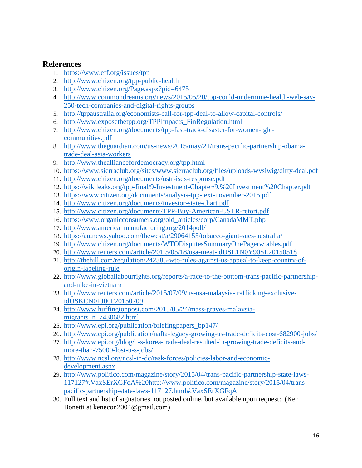## **References**

- 1. <https://www.eff.org/issues/tpp>
- 2. <http://www.citizen.org/tpp-public-health>
- 3. <http://www.citizen.org/Page.aspx?pid=6475>
- 4. [http://www.commondreams.org/news/2015/05/20/tpp-could-undermine-health-web-say-](http://www.commondreams.org/news/2015/05/20/tpp-could-undermine-health-web-say-250-tech-companies-and-digital-rights-groups)[250-tech-companies-and-digital-rights-groups](http://www.commondreams.org/news/2015/05/20/tpp-could-undermine-health-web-say-250-tech-companies-and-digital-rights-groups)
- 5. <http://tppaustralia.org/economists-call-for-tpp-deal-to-allow-capital-controls/>
- 6. [http://www.exposethetpp.org/TPPImpacts\\_FinRegulation.html](http://www.exposethetpp.org/TPPImpacts_FinRegulation.html)
- 7. [http://www.citizen.org/documents/tpp-fast-track-disaster-for-women-lgbt](http://www.citizen.org/documents/tpp-fast-track-disaster-for-women-lgbt-communities.pdf)[communities.pdf](http://www.citizen.org/documents/tpp-fast-track-disaster-for-women-lgbt-communities.pdf)
- 8. [http://www.theguardian.com/us-news/2015/may/21/trans-pacific-partnership-obama](http://www.theguardian.com/us-news/2015/may/21/trans-pacific-partnership-obama-trade-deal-asia-workers)[trade-deal-asia-workers](http://www.theguardian.com/us-news/2015/may/21/trans-pacific-partnership-obama-trade-deal-asia-workers)
- 9. <http://www.thealliancefordemocracy.org/tpp.html>
- 10. <https://www.sierraclub.org/sites/www.sierraclub.org/files/uploads-wysiwig/dirty-deal.pdf>
- 11. <http://www.citizen.org/documents/ustr-isds-response.pdf>
- 12. <https://wikileaks.org/tpp-final/9-Investment-Chapter/9.%20Investment%20Chapter.pdf>
- 13. [https://www.citizen.org/documents/analysis-tpp-text-november-2015.pdf](http://citizen.org/documents/tpp-investment-leak-2015.pdf)
- 14. <http://www.citizen.org/documents/investor-state-chart.pdf>
- 15. <http://www.citizen.org/documents/TPP-Buy-American-USTR-retort.pdf>
- 16. [https://www.organicconsumers.org/old\\_articles/corp/CanadaMMT.php](https://www.organicconsumers.org/old_articles/corp/CanadaMMT.php)
- 17. <http://www.americanmanufacturing.org/2014poll/>
- 18. <https://au.news.yahoo.com/thewest/a/29064155/tobacco-giant-sues-australia/>
- 19. <http://www.citizen.org/documents/WTODisputesSummaryOnePagerwtables.pdf>
- 20. [http://www.reuters.com/article/201 5/05/18/usa-meat-idUSL1N0Y90SL20150518](http://www.reuters.com/article/201%205/05/18/usa-meat-idUSL1N0Y90SL20150518)
- 21. [http://thehill.com/regulation/242385-wto-rules-against-us-appeal-to-keep-country-of](http://thehill.com/regulation/242385-wto-rules-against-us-appeal-to-keep-country-of-origin-labeling-rule)[origin-labeling-rule](http://thehill.com/regulation/242385-wto-rules-against-us-appeal-to-keep-country-of-origin-labeling-rule)
- 22. [http://www.globallabourrights.org/reports/a-race-to-the-bottom-trans-pacific-partnership](http://www.globallabourrights.org/reports/a-race-to-the-bottom-trans-pacific-partnership-and-nike-in-vietnam)[and-nike-in-vietnam](http://www.globallabourrights.org/reports/a-race-to-the-bottom-trans-pacific-partnership-and-nike-in-vietnam)
- 23. [http://www.reuters.com/article/2015/07/09/us-usa-malaysia-trafficking-exclusive](http://www.reuters.com/article/2015/07/09/us-usa-malaysia-trafficking-exclusive-idUSKCN0PJ00F20150709)[idUSKCN0PJ00F20150709](http://www.reuters.com/article/2015/07/09/us-usa-malaysia-trafficking-exclusive-idUSKCN0PJ00F20150709)
- 24. [http://www.huffingtonpost.com/2015/05/24/mass-graves-malaysia](http://www.huffingtonpost.com/2015/05/24/mass-graves-malaysia-migrants_n_7430682.html)migrants n 7430682.html
- 25. [http://www.epi.org/publication/briefingpapers\\_bp147/](http://www.epi.org/publication/briefingpapers_bp147/)
- 26. <http://www.epi.org/publication/nafta-legacy-growing-us-trade-deficits-cost-682900-jobs/>
- 27. [http://www.epi.org/blog/u-s-korea-trade-deal-resulted-in-growing-trade-deficits-and](http://www.epi.org/blog/u-s-korea-trade-deal-resulted-in-growing-trade-deficits-and-more-than-75000-lost-u-s-jobs/)[more-than-75000-lost-u-s-jobs/](http://www.epi.org/blog/u-s-korea-trade-deal-resulted-in-growing-trade-deficits-and-more-than-75000-lost-u-s-jobs/)
- 28. [http://www.ncsl.org/ncsl-in-dc/task-forces/policies-labor-and-economic](http://www.ncsl.org/ncsl-in-dc/task-forces/policies-labor-and-economic-development.aspx)[development.aspx](http://www.ncsl.org/ncsl-in-dc/task-forces/policies-labor-and-economic-development.aspx)
- 29. [http://www.politico.com/magazine/story/2015/04/trans-pacific-partnership-state-laws-](http://www.politico.com/magazine/story/2015/04/trans-pacific-partnership-state-laws-117127#.VaxSErXGFqA%20http://www.politico.com/magazine/story/2015/04/trans-pacific-partnership-state-laws-117127.html)[117127#.VaxSErXGFqA%20http://www.politico.com/magazine/story/2015/04/trans](http://www.politico.com/magazine/story/2015/04/trans-pacific-partnership-state-laws-117127#.VaxSErXGFqA%20http://www.politico.com/magazine/story/2015/04/trans-pacific-partnership-state-laws-117127.html)[pacific-partnership-state-laws-117127.html#.VaxSErXGFqA](http://www.politico.com/magazine/story/2015/04/trans-pacific-partnership-state-laws-117127#.VaxSErXGFqA%20http://www.politico.com/magazine/story/2015/04/trans-pacific-partnership-state-laws-117127.html)
- 30. Full text and list of signatories not posted online, but available upon request: (Ken Bonetti at kenecon2004@gmail.com).